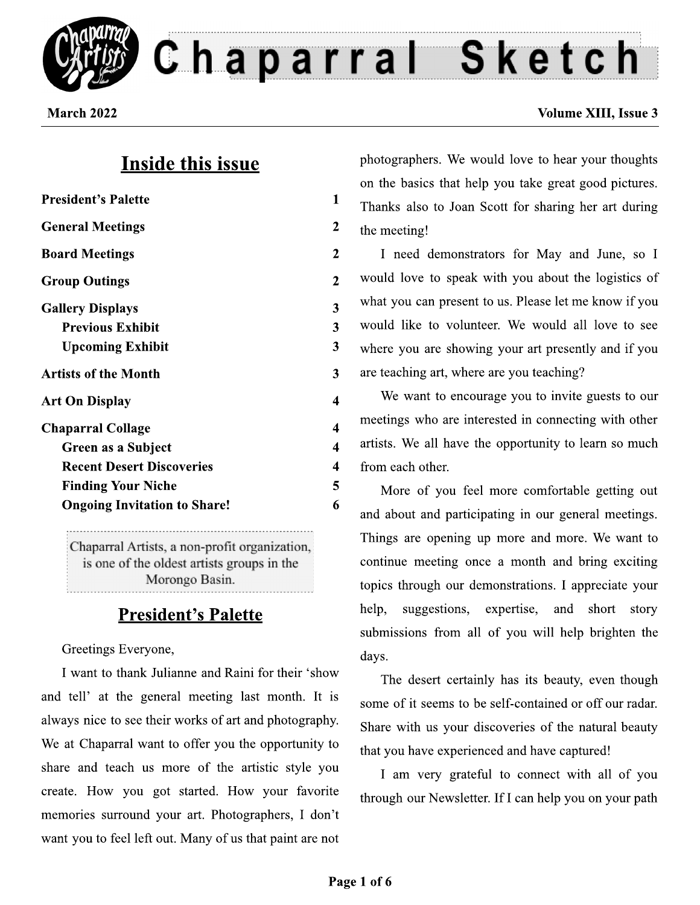

Chaparral Sketch

March 2022

## **Inside this issue**

| <b>President's Palette</b>          | 1              |
|-------------------------------------|----------------|
| <b>General Meetings</b>             | 2              |
| <b>Board Meetings</b>               | 2              |
| <b>Group Outings</b>                | $\overline{2}$ |
| <b>Gallery Displays</b>             | 3              |
| <b>Previous Exhibit</b>             | 3              |
| <b>Upcoming Exhibit</b>             | 3              |
| <b>Artists of the Month</b>         | 3              |
| <b>Art On Display</b>               | 4              |
| <b>Chaparral Collage</b>            | 4              |
| Green as a Subject                  | 4              |
| <b>Recent Desert Discoveries</b>    | 4              |
| <b>Finding Your Niche</b>           | 5              |
| <b>Ongoing Invitation to Share!</b> | 6              |
|                                     |                |

Chaparral Artists, a non-profit organization, is one of the oldest artists groups in the Morongo Basin.

## **President's Palette**

Greetings Everyone,

I want to thank Julianne and Raini for their 'show and tell' at the general meeting last month. It is always nice to see their works of art and photography. We at Chaparral want to offer you the opportunity to share and teach us more of the artistic style you create. How you got started. How your favorite memories surround your art. Photographers, I don't want you to feel left out. Many of us that paint are not photographers. We would love to hear your thoughts on the basics that help you take great good pictures. Thanks also to Joan Scott for sharing her art during the meeting!

I need demonstrators for May and June, so I would love to speak with you about the logistics of what you can present to us. Please let me know if you would like to volunteer. We would all love to see where you are showing your art presently and if you are teaching art, where are you teaching?

We want to encourage you to invite guests to our meetings who are interested in connecting with other artists. We all have the opportunity to learn so much from each other.

More of you feel more comfortable getting out and about and participating in our general meetings. Things are opening up more and more. We want to continue meeting once a month and bring exciting topics through our demonstrations. I appreciate your help. suggestions, expertise, and short story submissions from all of you will help brighten the days.

The desert certainly has its beauty, even though some of it seems to be self-contained or off our radar. Share with us your discoveries of the natural beauty that you have experienced and have captured!

I am very grateful to connect with all of you through our Newsletter. If I can help you on your path

## **Volume XIII, Issue 3**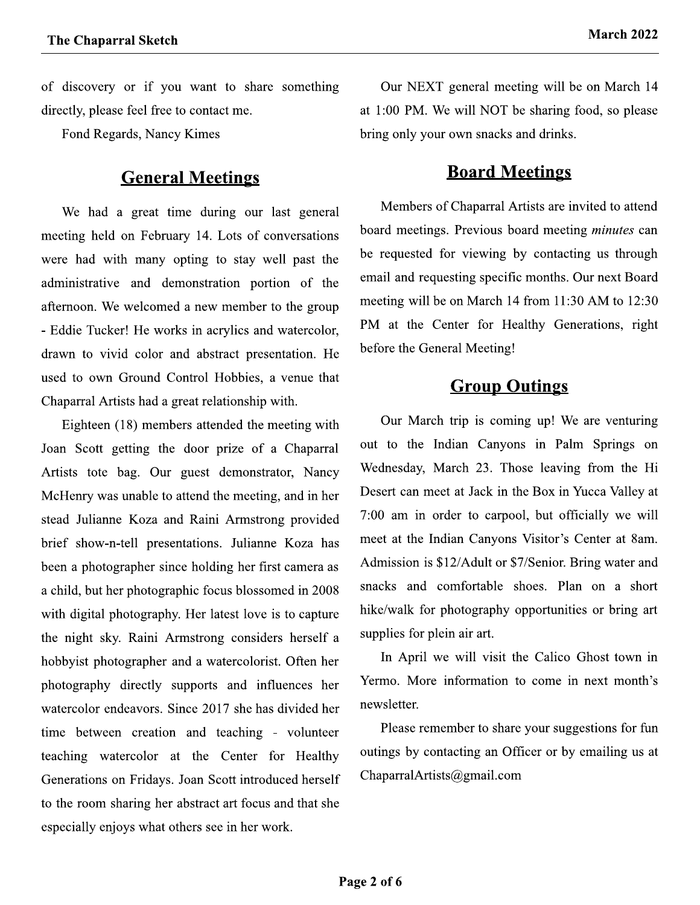of discovery or if you want to share something directly, please feel free to contact me.

Fond Regards, Nancy Kimes

## **General Meetings**

We had a great time during our last general meeting held on February 14. Lots of conversations were had with many opting to stay well past the administrative and demonstration portion of the afternoon. We welcomed a new member to the group - Eddie Tucker! He works in acrylics and watercolor, drawn to vivid color and abstract presentation. He used to own Ground Control Hobbies, a venue that Chaparral Artists had a great relationship with.

Eighteen (18) members attended the meeting with Joan Scott getting the door prize of a Chaparral Artists tote bag. Our guest demonstrator, Nancy McHenry was unable to attend the meeting, and in her stead Julianne Koza and Raini Armstrong provided brief show-n-tell presentations. Julianne Koza has been a photographer since holding her first camera as a child, but her photographic focus blossomed in 2008 with digital photography. Her latest love is to capture the night sky. Raini Armstrong considers herself a hobbyist photographer and a watercolorist. Often her photography directly supports and influences her watercolor endeavors. Since 2017 she has divided her time between creation and teaching - volunteer teaching watercolor at the Center for Healthy Generations on Fridays. Joan Scott introduced herself to the room sharing her abstract art focus and that she especially enjoys what others see in her work.

Our NEXT general meeting will be on March 14 at 1:00 PM. We will NOT be sharing food, so please bring only your own snacks and drinks.

#### **Board Meetings**

Members of Chaparral Artists are invited to attend board meetings. Previous board meeting *minutes* can be requested for viewing by contacting us through email and requesting specific months. Our next Board meeting will be on March 14 from 11:30 AM to 12:30 PM at the Center for Healthy Generations, right before the General Meeting!

### **Group Outings**

Our March trip is coming up! We are venturing out to the Indian Canyons in Palm Springs on Wednesday, March 23. Those leaving from the Hi Desert can meet at Jack in the Box in Yucca Valley at 7:00 am in order to carpool, but officially we will meet at the Indian Canyons Visitor's Center at 8am. Admission is \$12/Adult or \$7/Senior. Bring water and snacks and comfortable shoes. Plan on a short hike/walk for photography opportunities or bring art supplies for plein air art.

In April we will visit the Calico Ghost town in Yermo. More information to come in next month's newsletter.

Please remember to share your suggestions for fun outings by contacting an Officer or by emailing us at ChaparralArtists@gmail.com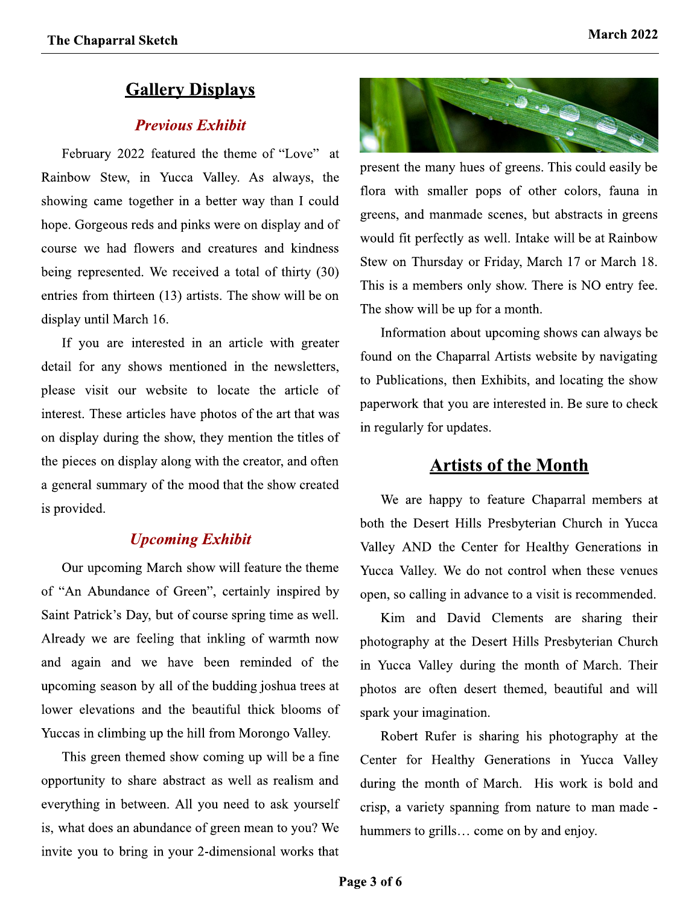## **Gallery Displays**

#### **Previous Exhibit**

February 2022 featured the theme of "Love" at Rainbow Stew, in Yucca Valley. As always, the showing came together in a better way than I could hope. Gorgeous reds and pinks were on display and of course we had flowers and creatures and kindness being represented. We received a total of thirty (30) entries from thirteen (13) artists. The show will be on display until March 16.

If you are interested in an article with greater detail for any shows mentioned in the newsletters, please visit our website to locate the article of interest. These articles have photos of the art that was on display during the show, they mention the titles of the pieces on display along with the creator, and often a general summary of the mood that the show created is provided.

#### **Upcoming Exhibit**

Our upcoming March show will feature the theme of "An Abundance of Green", certainly inspired by Saint Patrick's Day, but of course spring time as well. Already we are feeling that inkling of warmth now and again and we have been reminded of the upcoming season by all of the budding joshua trees at lower elevations and the beautiful thick blooms of Yuccas in climbing up the hill from Morongo Valley.

This green themed show coming up will be a fine opportunity to share abstract as well as realism and everything in between. All you need to ask yourself is, what does an abundance of green mean to you? We invite you to bring in your 2-dimensional works that



present the many hues of greens. This could easily be flora with smaller pops of other colors, fauna in greens, and manmade scenes, but abstracts in greens would fit perfectly as well. Intake will be at Rainbow Stew on Thursday or Friday, March 17 or March 18. This is a members only show. There is NO entry fee. The show will be up for a month.

Information about upcoming shows can always be found on the Chaparral Artists website by navigating to Publications, then Exhibits, and locating the show paperwork that you are interested in. Be sure to check in regularly for updates.

#### **Artists of the Month**

We are happy to feature Chaparral members at both the Desert Hills Presbyterian Church in Yucca Valley AND the Center for Healthy Generations in Yucca Valley. We do not control when these venues open, so calling in advance to a visit is recommended.

Kim and David Clements are sharing their photography at the Desert Hills Presbyterian Church in Yucca Valley during the month of March. Their photos are often desert themed, beautiful and will spark your imagination.

Robert Rufer is sharing his photography at the Center for Healthy Generations in Yucca Valley during the month of March. His work is bold and crisp, a variety spanning from nature to man made hummers to grills... come on by and enjoy.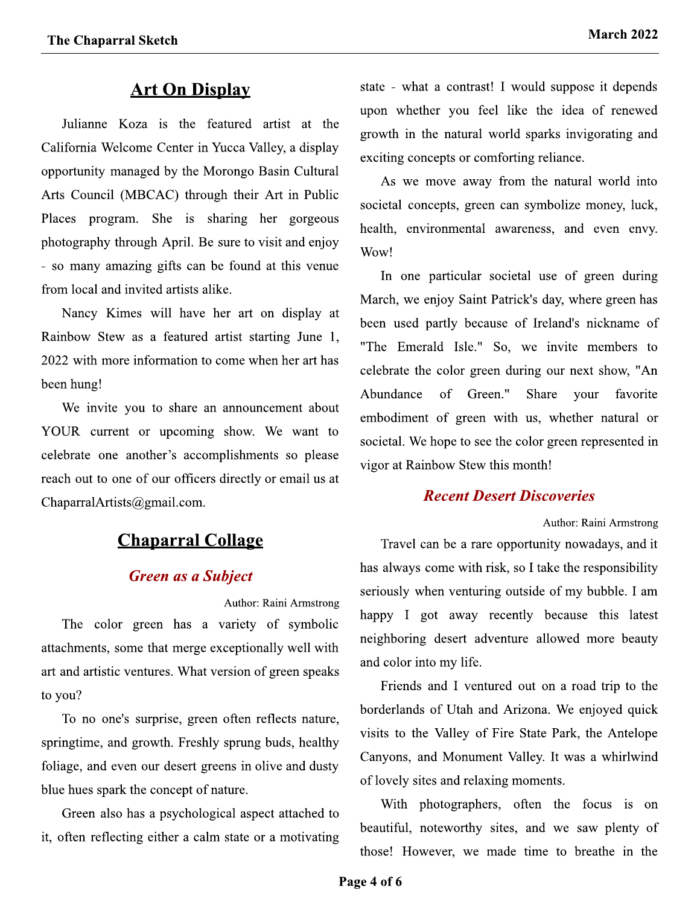## **Art On Display**

Julianne Koza is the featured artist at the California Welcome Center in Yucca Valley, a display opportunity managed by the Morongo Basin Cultural Arts Council (MBCAC) through their Art in Public Places program. She is sharing her gorgeous photography through April. Be sure to visit and enjoy - so many amazing gifts can be found at this venue from local and invited artists alike.

Nancy Kimes will have her art on display at Rainbow Stew as a featured artist starting June 1, 2022 with more information to come when her art has been hung!

We invite you to share an announcement about YOUR current or upcoming show. We want to celebrate one another's accomplishments so please reach out to one of our officers directly or email us at ChaparralArtists@gmail.com.

## **Chaparral Collage**

#### **Green as a Subject**

Author: Raini Armstrong The color green has a variety of symbolic attachments, some that merge exceptionally well with art and artistic ventures. What version of green speaks to you?

To no one's surprise, green often reflects nature, springtime, and growth. Freshly sprung buds, healthy foliage, and even our desert greens in olive and dusty blue hues spark the concept of nature.

Green also has a psychological aspect attached to it, often reflecting either a calm state or a motivating state - what a contrast! I would suppose it depends upon whether you feel like the idea of renewed growth in the natural world sparks invigorating and exciting concepts or comforting reliance.

As we move away from the natural world into societal concepts, green can symbolize money, luck, health, environmental awareness, and even envy. Wow!

In one particular societal use of green during March, we enjoy Saint Patrick's day, where green has been used partly because of Ireland's nickname of "The Emerald Isle." So, we invite members to celebrate the color green during our next show, "An Abundance of Green." **Share** your favorite embodiment of green with us, whether natural or societal. We hope to see the color green represented in vigor at Rainbow Stew this month!

#### **Recent Desert Discoveries**

Author: Raini Armstrong

Travel can be a rare opportunity nowadays, and it has always come with risk, so I take the responsibility seriously when venturing outside of my bubble. I am happy I got away recently because this latest neighboring desert adventure allowed more beauty and color into my life.

Friends and I ventured out on a road trip to the borderlands of Utah and Arizona. We enjoyed quick visits to the Valley of Fire State Park, the Antelope Canyons, and Monument Valley. It was a whirlwind of lovely sites and relaxing moments.

With photographers, often the focus is on beautiful, noteworthy sites, and we saw plenty of those! However, we made time to breathe in the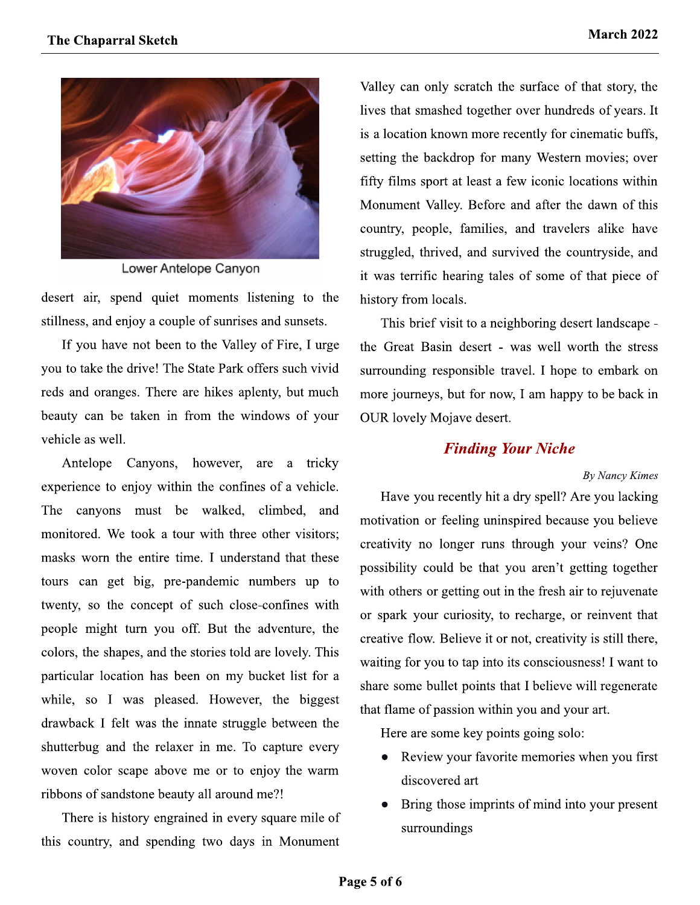

Lower Antelope Canyon

desert air, spend quiet moments listening to the stillness, and enjoy a couple of sunrises and sunsets.

If you have not been to the Valley of Fire, I urge you to take the drive! The State Park offers such vivid reds and oranges. There are hikes aplenty, but much beauty can be taken in from the windows of your vehicle as well.

Antelope Canyons, however, are a tricky experience to enjoy within the confines of a vehicle. The canyons must be walked, climbed, and monitored. We took a tour with three other visitors; masks worn the entire time. I understand that these tours can get big, pre-pandemic numbers up to twenty, so the concept of such close-confines with people might turn you off. But the adventure, the colors, the shapes, and the stories told are lovely. This particular location has been on my bucket list for a while, so I was pleased. However, the biggest drawback I felt was the innate struggle between the shutterbug and the relaxer in me. To capture every woven color scape above me or to enjoy the warm ribbons of sandstone beauty all around me?!

There is history engrained in every square mile of this country, and spending two days in Monument

Valley can only scratch the surface of that story, the lives that smashed together over hundreds of years. It is a location known more recently for cinematic buffs, setting the backdrop for many Western movies; over fifty films sport at least a few iconic locations within Monument Valley. Before and after the dawn of this country, people, families, and travelers alike have struggled, thrived, and survived the countryside, and it was terrific hearing tales of some of that piece of history from locals.

This brief visit to a neighboring desert landscape the Great Basin desert - was well worth the stress surrounding responsible travel. I hope to embark on more journeys, but for now, I am happy to be back in **OUR** lovely Mojave desert.

#### **Finding Your Niche**

#### **By Nancy Kimes**

Have you recently hit a dry spell? Are you lacking motivation or feeling uninspired because you believe creativity no longer runs through your veins? One possibility could be that you aren't getting together with others or getting out in the fresh air to rejuvenate or spark your curiosity, to recharge, or reinvent that creative flow. Believe it or not, creativity is still there, waiting for you to tap into its consciousness! I want to share some bullet points that I believe will regenerate that flame of passion within you and your art.

Here are some key points going solo:

- Review your favorite memories when you first discovered art
- Bring those imprints of mind into your present surroundings